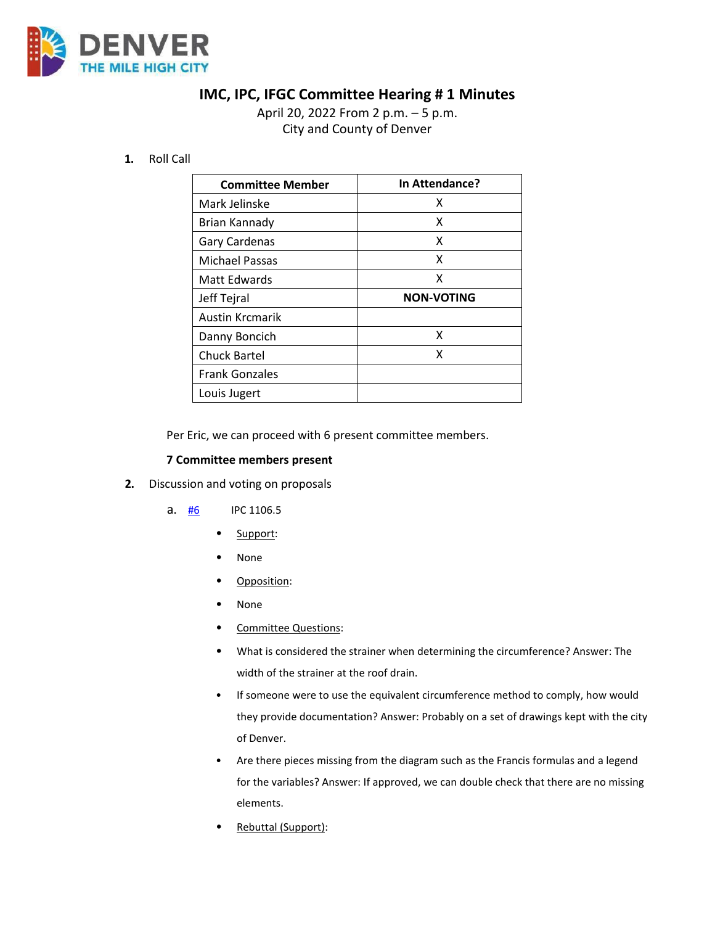

## **IMC, IPC, IFGC Committee Hearing # 1 Minutes**

April 20, 2022 From 2 p.m. – 5 p.m. City and County of Denver

## **1.** Roll Call

| <b>Committee Member</b> | In Attendance?    |
|-------------------------|-------------------|
| Mark Jelinske           | x                 |
| Brian Kannady           | x                 |
| Gary Cardenas           | x                 |
| <b>Michael Passas</b>   | x                 |
| Matt Edwards            | x                 |
| Jeff Tejral             | <b>NON-VOTING</b> |
| <b>Austin Krcmarik</b>  |                   |
| Danny Boncich           | x                 |
| <b>Chuck Bartel</b>     | x                 |
| <b>Frank Gonzales</b>   |                   |
| Louis Jugert            |                   |

Per Eric, we can proceed with 6 present committee members.

## **7 Committee members present**

- **2.** Discussion and voting on proposals
	- a. [#6](https://www.denvergov.org/files/assets/public/community-planning-and-development/documents/ds/building-codes/code-adoption/amendment-proposals/ipc/ipc_1106.5.pdf) IPC 1106.5
		- Support:
		- None
		- Opposition:
		- None
		- Committee Questions:
		- What is considered the strainer when determining the circumference? Answer: The width of the strainer at the roof drain.
		- If someone were to use the equivalent circumference method to comply, how would they provide documentation? Answer: Probably on a set of drawings kept with the city of Denver.
		- Are there pieces missing from the diagram such as the Francis formulas and a legend for the variables? Answer: If approved, we can double check that there are no missing elements.
		- Rebuttal (Support):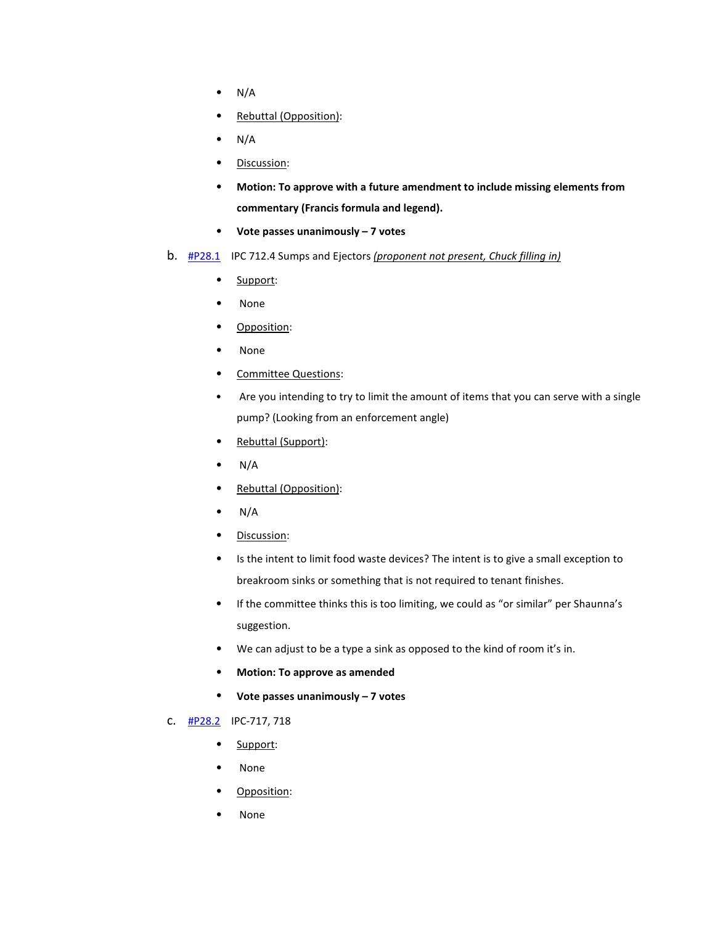- $\bullet$  N/A
- Rebuttal (Opposition):
- $\bullet$  N/A
- Discussion:
- **Motion: To approve with a future amendment to include missing elements from commentary (Francis formula and legend).**
- **Vote passes unanimously 7 votes**
- b. [#P28.1](https://www.denvergov.org/files/assets/public/community-planning-and-development/documents/ds/building-codes/code-adoption/amendment-proposals/ipc/ipc_712.4.pdf) IPC 712.4 Sumps and Ejectors *(proponent not present, Chuck filling in)*
	- Support:
	- None
	- Opposition:
	- None
	- Committee Questions:
	- Are you intending to try to limit the amount of items that you can serve with a single pump? (Looking from an enforcement angle)
	- Rebuttal (Support):
	- $\bullet$  N/A
	- Rebuttal (Opposition):
	- $N/A$
	- Discussion:
	- Is the intent to limit food waste devices? The intent is to give a small exception to breakroom sinks or something that is not required to tenant finishes.
	- If the committee thinks this is too limiting, we could as "or similar" per Shaunna's suggestion.
	- We can adjust to be a type a sink as opposed to the kind of room it's in.
	- **Motion: To approve as amended**
	- **Vote passes unanimously 7 votes**
- c. [#P28.2](https://www.denvergov.org/files/assets/public/community-planning-and-development/documents/ds/building-codes/code-adoption/amendment-proposals/ipc/ipc_717_718.pdf) IPC-717, 718
	- Support:
	- None
	- Opposition:
	- None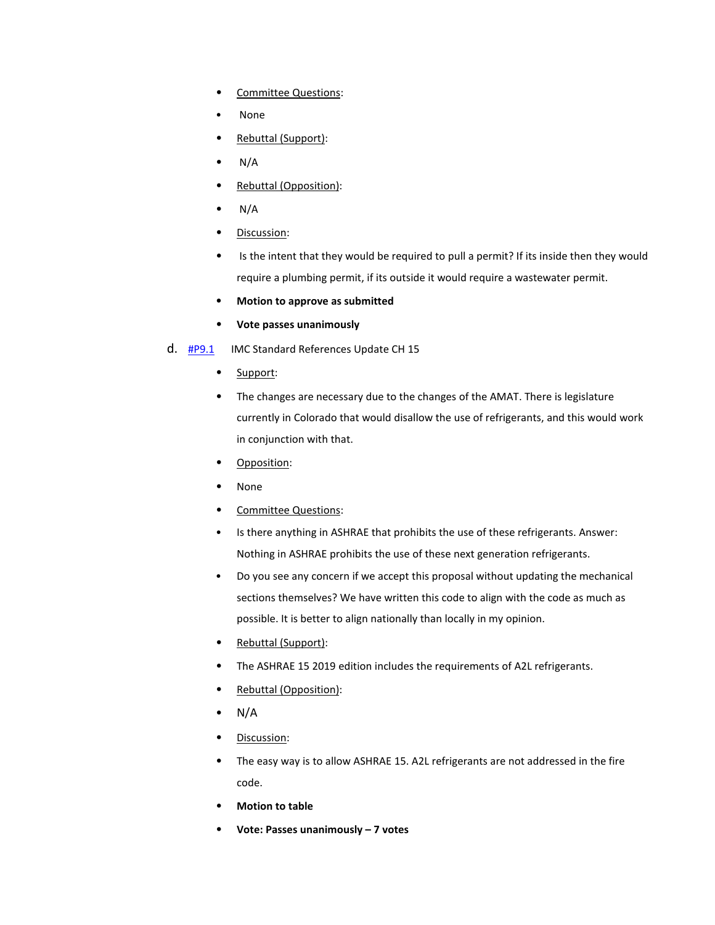- Committee Questions:
- None
- Rebuttal (Support):
- $N/A$
- Rebuttal (Opposition):
- $\bullet$  N/A
- Discussion:
- Is the intent that they would be required to pull a permit? If its inside then they would require a plumbing permit, if its outside it would require a wastewater permit.
- **Motion to approve as submitted**
- **Vote passes unanimously**
- d. **[#P9.1](https://www.denvergov.org/files/assets/public/community-planning-and-development/documents/ds/building-codes/code-adoption/amendment-proposals/imc/imc_updatedchapter15.pdf)** IMC Standard References Update CH 15
	- Support:
	- The changes are necessary due to the changes of the AMAT. There is legislature currently in Colorado that would disallow the use of refrigerants, and this would work in conjunction with that.
	- Opposition:
	- None
	- Committee Questions:
	- Is there anything in ASHRAE that prohibits the use of these refrigerants. Answer: Nothing in ASHRAE prohibits the use of these next generation refrigerants.
	- Do you see any concern if we accept this proposal without updating the mechanical sections themselves? We have written this code to align with the code as much as possible. It is better to align nationally than locally in my opinion.
	- Rebuttal (Support):
	- The ASHRAE 15 2019 edition includes the requirements of A2L refrigerants.
	- Rebuttal (Opposition):
	- $N/A$
	- Discussion:
	- The easy way is to allow ASHRAE 15. A2L refrigerants are not addressed in the fire code.
	- **Motion to table**
	- **Vote: Passes unanimously 7 votes**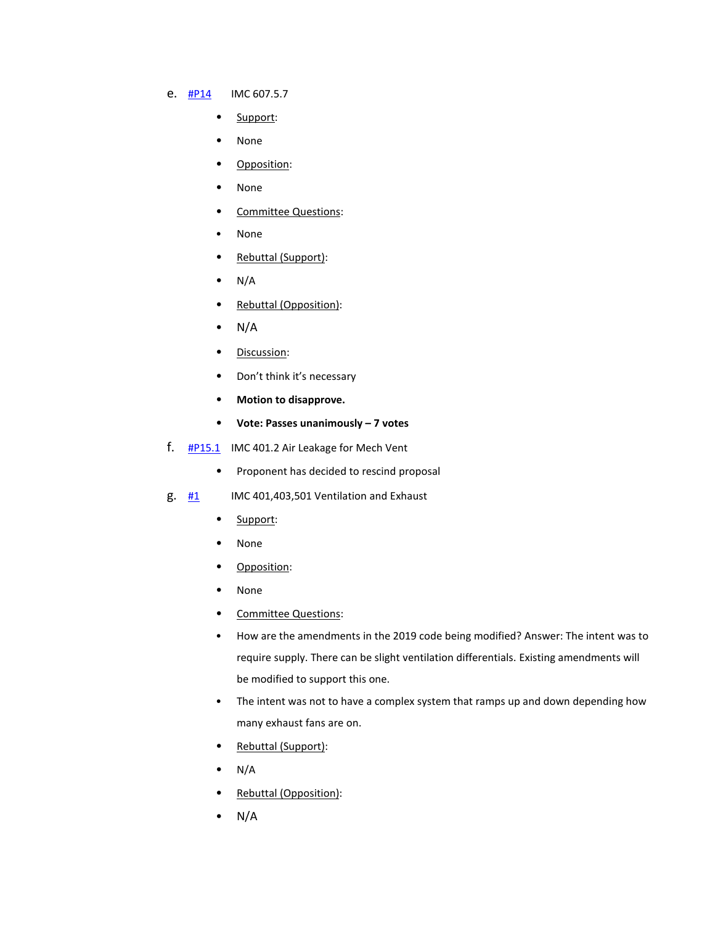## e. [#P14](https://www.denvergov.org/files/assets/public/community-planning-and-development/documents/ds/building-codes/code-adoption/amendment-proposals/imc/imc_607.5.7.pdf) IMC 607.5.7

- Support:
- None
- Opposition:
- None
- Committee Questions:
- None
- Rebuttal (Support):
- $N/A$
- Rebuttal (Opposition):
- N/A
- Discussion:
- Don't think it's necessary
- **Motion to disapprove.**
- **Vote: Passes unanimously 7 votes**
- f.  $\frac{\text{#P15.1}}{\text{P15.1}}$  $\frac{\text{#P15.1}}{\text{P15.1}}$  $\frac{\text{#P15.1}}{\text{P15.1}}$  IMC 401.2 Air Leakage for Mech Vent
	- Proponent has decided to rescind proposal
- $g.$  [#1](https://www.denvergov.org/files/assets/public/community-planning-and-development/documents/ds/building-codes/code-adoption/amendment-proposals/imc/imc_403.pdf) IMC 401,403,501 Ventilation and Exhaust
	- Support:
	- None
	- Opposition:
	- None
	- Committee Questions:
	- How are the amendments in the 2019 code being modified? Answer: The intent was to require supply. There can be slight ventilation differentials. Existing amendments will be modified to support this one.
	- The intent was not to have a complex system that ramps up and down depending how many exhaust fans are on.
	- Rebuttal (Support):
	- $\bullet$  N/A
	- Rebuttal (Opposition):
	- $N/A$